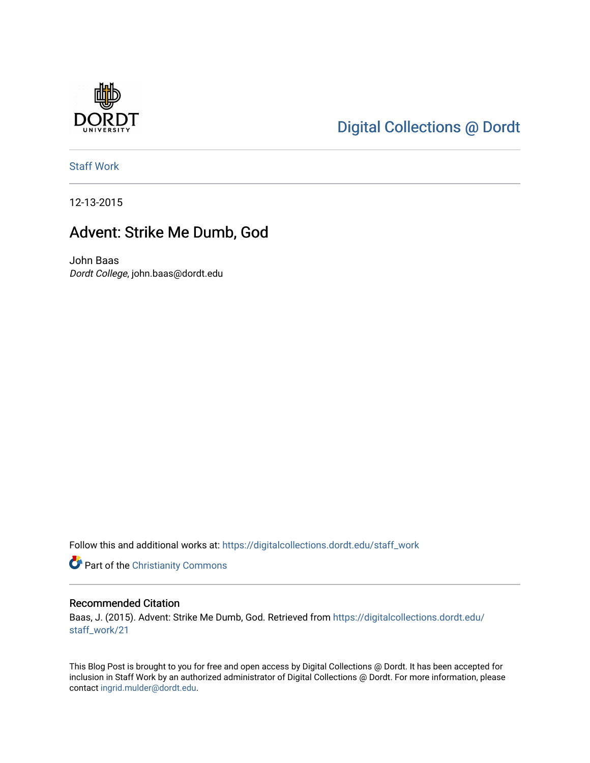

# [Digital Collections @ Dordt](https://digitalcollections.dordt.edu/)

[Staff Work](https://digitalcollections.dordt.edu/staff_work) 

12-13-2015

## Advent: Strike Me Dumb, God

John Baas Dordt College, john.baas@dordt.edu

Follow this and additional works at: [https://digitalcollections.dordt.edu/staff\\_work](https://digitalcollections.dordt.edu/staff_work?utm_source=digitalcollections.dordt.edu%2Fstaff_work%2F21&utm_medium=PDF&utm_campaign=PDFCoverPages)

Part of the [Christianity Commons](http://network.bepress.com/hgg/discipline/1181?utm_source=digitalcollections.dordt.edu%2Fstaff_work%2F21&utm_medium=PDF&utm_campaign=PDFCoverPages) 

#### Recommended Citation

Baas, J. (2015). Advent: Strike Me Dumb, God. Retrieved from [https://digitalcollections.dordt.edu/](https://digitalcollections.dordt.edu/staff_work/21?utm_source=digitalcollections.dordt.edu%2Fstaff_work%2F21&utm_medium=PDF&utm_campaign=PDFCoverPages) [staff\\_work/21](https://digitalcollections.dordt.edu/staff_work/21?utm_source=digitalcollections.dordt.edu%2Fstaff_work%2F21&utm_medium=PDF&utm_campaign=PDFCoverPages)

This Blog Post is brought to you for free and open access by Digital Collections @ Dordt. It has been accepted for inclusion in Staff Work by an authorized administrator of Digital Collections @ Dordt. For more information, please contact [ingrid.mulder@dordt.edu.](mailto:ingrid.mulder@dordt.edu)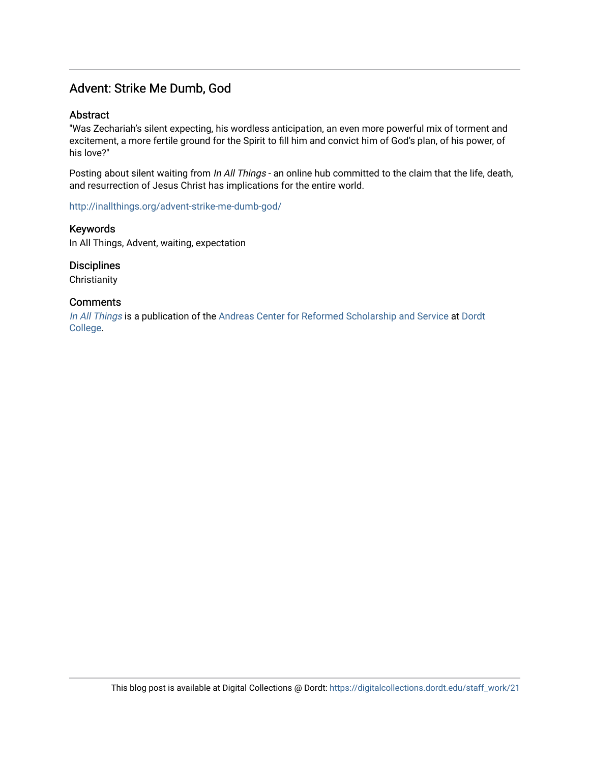## Advent: Strike Me Dumb, God

## **Abstract**

"Was Zechariah's silent expecting, his wordless anticipation, an even more powerful mix of torment and excitement, a more fertile ground for the Spirit to fill him and convict him of God's plan, of his power, of his love?"

Posting about silent waiting from In All Things - an online hub committed to the claim that the life, death, and resurrection of Jesus Christ has implications for the entire world.

<http://inallthings.org/advent-strike-me-dumb-god/>

Keywords In All Things, Advent, waiting, expectation

**Disciplines** 

**Christianity** 

### **Comments**

[In All Things](http://inallthings.org/) is a publication of the [Andreas Center for Reformed Scholarship and Service](http://www.dordt.edu/services_support/andreas_center/) at Dordt [College](http://www.dordt.edu/).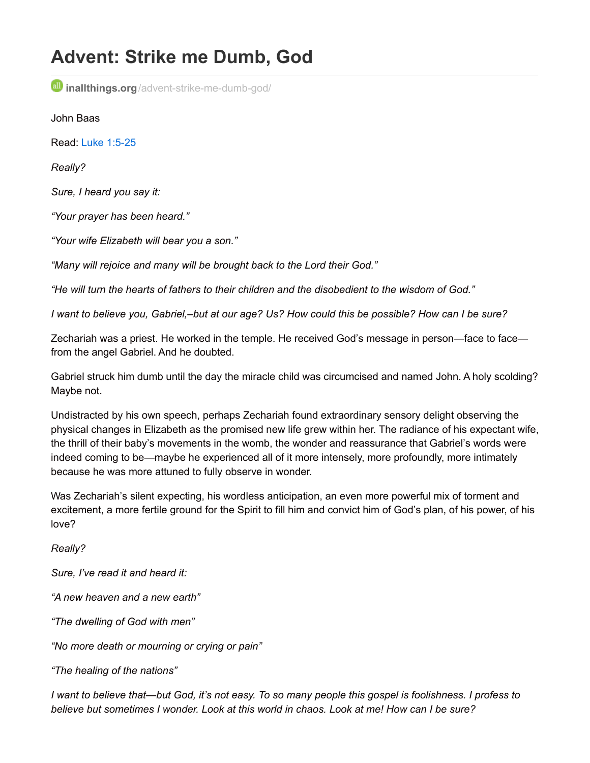# **Advent: Strike me Dumb, God**

**inallthings.org**[/advent-strike-me-dumb-god/](http://inallthings.org/advent-strike-me-dumb-god/)

John Baas

Read: Luke [1:5-25](https://www.biblegateway.com/passage/?search=Luke+1%3A5-25&version=NIV)

*Really?*

*Sure, I heard you say it:*

*"Your prayer has been heard."*

*"Your wife Elizabeth will bear you a son."*

*"Many will rejoice and many will be brought back to the Lord their God."*

*"He will turn the hearts of fathers to their children and the disobedient to the wisdom of God."*

I want to believe you. Gabriel,-but at our age? Us? How could this be possible? How can I be sure?

Zechariah was a priest. He worked in the temple. He received God's message in person—face to face from the angel Gabriel. And he doubted.

Gabriel struck him dumb until the day the miracle child was circumcised and named John. A holy scolding? Maybe not.

Undistracted by his own speech, perhaps Zechariah found extraordinary sensory delight observing the physical changes in Elizabeth as the promised new life grew within her. The radiance of his expectant wife, the thrill of their baby's movements in the womb, the wonder and reassurance that Gabriel's words were indeed coming to be—maybe he experienced all of it more intensely, more profoundly, more intimately because he was more attuned to fully observe in wonder.

Was Zechariah's silent expecting, his wordless anticipation, an even more powerful mix of torment and excitement, a more fertile ground for the Spirit to fill him and convict him of God's plan, of his power, of his love?

*Really?*

*Sure, I've read it and heard it:*

*"A new heaven and a new earth"*

*"The dwelling of God with men"*

*"No more death or mourning or crying or pain"*

*"The healing of the nations"*

I want to believe that—but God, it's not easy. To so many people this gospel is foolishness. I profess to *believe but sometimes I wonder. Look at this world in chaos. Look at me! How can I be sure?*